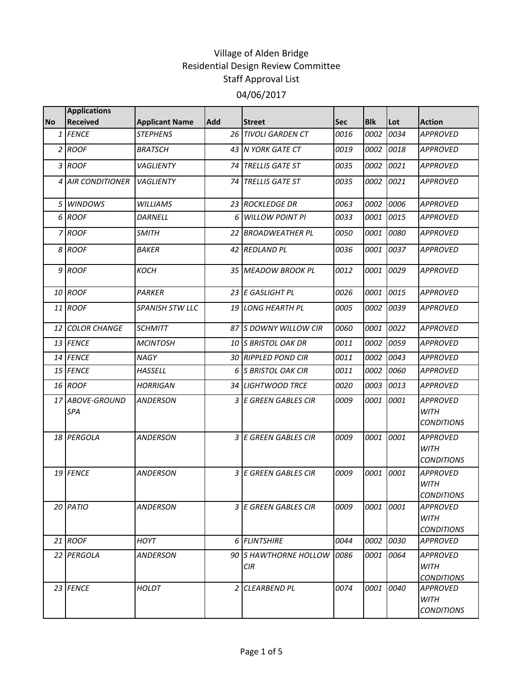|           | <b>Applications</b>    |                        |            |                                     |      |             |           |                                                     |
|-----------|------------------------|------------------------|------------|-------------------------------------|------|-------------|-----------|-----------------------------------------------------|
| <b>No</b> | <b>Received</b>        | <b>Applicant Name</b>  | <b>Add</b> | <b>Street</b>                       | Sec  | <b>Blk</b>  | Lot       | <b>Action</b>                                       |
|           | 1 FENCE                | <b>STEPHENS</b>        |            | <b>26 TIVOLI GARDEN CT</b>          | 0016 | 0002        | 0034      | <b>APPROVED</b>                                     |
|           | 2 ROOF                 | <b>BRATSCH</b>         |            | 43 IN YORK GATE CT                  | 0019 | 0002        | 0018      | <b>APPROVED</b>                                     |
|           | 3 ROOF                 | <b>VAGLIENTY</b>       |            | 74 TRELLIS GATE ST                  | 0035 | 0002        | 0021      | <b>APPROVED</b>                                     |
|           | 4 AIR CONDITIONER      | <b>VAGLIENTY</b>       | 74 I       | <b>TRELLIS GATE ST</b>              | 0035 | 0002        | 0021      | <b>APPROVED</b>                                     |
|           | 5 WINDOWS              | <b>WILLIAMS</b>        |            | 23 ROCKLEDGE DR                     | 0063 | 0002        | 0006      | <b>APPROVED</b>                                     |
|           | 6 ROOF                 | <b>DARNELL</b>         | 6          | <b>WILLOW POINT PI</b>              | 0033 | 0001        | 0015      | <b>APPROVED</b>                                     |
|           | 7 ROOF                 | <b>SMITH</b>           |            | 22 BROADWEATHER PL                  | 0050 | 0001        | 0080      | <b>APPROVED</b>                                     |
|           | 8 ROOF                 | <b>BAKER</b>           |            | 42 REDLAND PL                       | 0036 | 0001        | 0037      | <b>APPROVED</b>                                     |
|           | 9 ROOF                 | <b>KOCH</b>            |            | 35 MEADOW BROOK PL                  | 0012 | 0001        | 0029      | <b>APPROVED</b>                                     |
|           | 10 ROOF                | <b>PARKER</b>          |            | 23 E GASLIGHT PL                    | 0026 | 0001        | 0015      | <b>APPROVED</b>                                     |
|           | 11 ROOF                | <b>SPANISH STW LLC</b> |            | <b>19 LONG HEARTH PL</b>            | 0005 | 0002        | 0039      | <b>APPROVED</b>                                     |
|           | 12 COLOR CHANGE        | <b>SCHMITT</b>         |            | 87 S DOWNY WILLOW CIR               | 0060 | 0001        | 0022      | <b>APPROVED</b>                                     |
|           | 13 FENCE               | <b>MCINTOSH</b>        |            | 10 S BRISTOL OAK DR                 | 0011 | 0002        | 0059      | <b>APPROVED</b>                                     |
|           | 14 FENCE               | NAGY                   |            | 30 RIPPLED POND CIR                 | 0011 | 0002        | 0043      | <b>APPROVED</b>                                     |
|           | 15 FENCE               | HASSELL                | 6          | <b>S BRISTOL OAK CIR</b>            | 0011 | 0002        | 0060      | APPROVED                                            |
|           | 16 ROOF                | <b>HORRIGAN</b>        |            | <b>34 LIGHTWOOD TRCE</b>            | 0020 | 0003        | 0013      | <b>APPROVED</b>                                     |
|           | 17 ABOVE-GROUND<br>SPA | <b>ANDERSON</b>        |            | 3 E GREEN GABLES CIR                | 0009 | 0001        | 0001      | <b>APPROVED</b><br><b>WITH</b><br><b>CONDITIONS</b> |
|           | 18 PERGOLA             | ANDERSON               |            | 3 E GREEN GABLES CIR                | 0009 | <i>0001</i> | 0001      | APPROVED<br><b>WITH</b><br><b>CONDITIONS</b>        |
|           | 19 FENCE               | ANDERSON               |            | 3 E GREEN GABLES CIR                | 0009 | 0001        | 0001      | <b>APPROVED</b><br><b>WITH</b><br><b>CONDITIONS</b> |
|           | 20 PATIO               | ANDERSON               |            | 3 E GREEN GABLES CIR                | 0009 | 0001 0001   |           | APPROVED<br><b>WITH</b><br><b>CONDITIONS</b>        |
|           | 21 ROOF                | HOYT                   |            | 6 FLINTSHIRE                        | 0044 | 0002        | 0030      | <b>APPROVED</b>                                     |
|           | 22 PERGOLA             | <b>ANDERSON</b>        |            | 90 S HAWTHORNE HOLLOW<br><b>CIR</b> | 0086 | 0001        | 0064      | APPROVED<br><b>WITH</b><br><b>CONDITIONS</b>        |
|           | 23 FENCE               | HOLDT                  |            | 2 CLEARBEND PL                      | 0074 |             | 0001 0040 | <b>APPROVED</b><br><b>WITH</b><br><b>CONDITIONS</b> |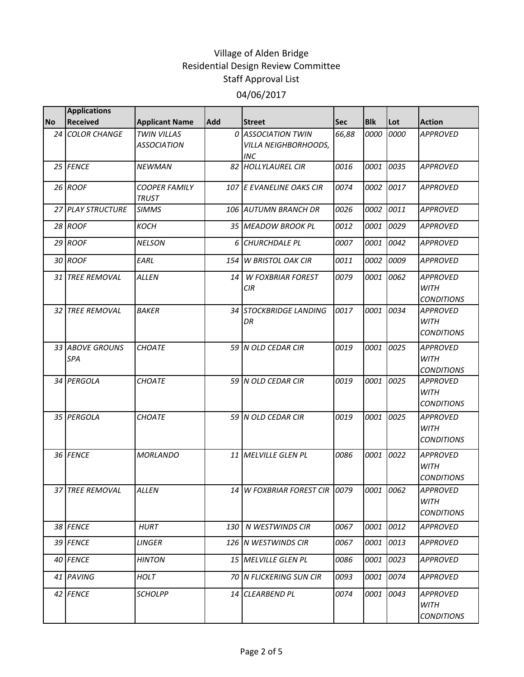|           | <b>Applications</b>           |                                      |     |                                                          |            |            |      |                                                     |
|-----------|-------------------------------|--------------------------------------|-----|----------------------------------------------------------|------------|------------|------|-----------------------------------------------------|
| <b>No</b> | <b>Received</b>               | <b>Applicant Name</b>                | Add | <b>Street</b>                                            | <b>Sec</b> | <b>Blk</b> | Lot  | <b>Action</b>                                       |
|           | 24 COLOR CHANGE               | TWIN VILLAS<br><b>ASSOCIATION</b>    |     | 0 ASSOCIATION TWIN<br><b>VILLA NEIGHBORHOODS,</b><br>INC | 66,88      | 0000       | 0000 | <b>APPROVED</b>                                     |
|           | 25 FENCE                      | <b>NEWMAN</b>                        |     | 82 HOLLYLAUREL CIR                                       | 0016       | 0001       | 0035 | <b>APPROVED</b>                                     |
|           | 26 ROOF                       | <b>COOPER FAMILY</b><br><b>TRUST</b> |     | 107 E EVANELINE OAKS CIR                                 | 0074       | 0002       | 0017 | <b>APPROVED</b>                                     |
|           | 27 PLAY STRUCTURE             | <b>SIMMS</b>                         |     | 106 AUTUMN BRANCH DR                                     | 0026       | 0002       | 0011 | <b>APPROVED</b>                                     |
|           | 28 ROOF                       | <b>KOCH</b>                          |     | 35 MEADOW BROOK PL                                       | 0012       | 0001       | 0029 | <b>APPROVED</b>                                     |
|           | 29 ROOF                       | <b>NELSON</b>                        | 6   | <b>CHURCHDALE PL</b>                                     | 0007       | 0001       | 0042 | <b>APPROVED</b>                                     |
|           | 30 ROOF                       | EARL                                 | 154 | <b>W BRISTOL OAK CIR</b>                                 | 0011       | 0002       | 0009 | <b>APPROVED</b>                                     |
|           | 31 TREE REMOVAL               | <b>ALLEN</b>                         | 14  | <b>W FOXBRIAR FOREST</b><br>CIR                          | 0079       | 0001       | 0062 | <b>APPROVED</b><br><b>WITH</b><br><b>CONDITIONS</b> |
|           | <b>32 TREE REMOVAL</b>        | <b>BAKER</b>                         | 34  | <b>STOCKBRIDGE LANDING</b><br>DR                         | 0017       | 0001       | 0034 | <b>APPROVED</b><br><b>WITH</b><br><b>CONDITIONS</b> |
|           | 33 ABOVE GROUNS<br><b>SPA</b> | <b>CHOATE</b>                        |     | 59 N OLD CEDAR CIR                                       | 0019       | 0001       | 0025 | <b>APPROVED</b><br><b>WITH</b><br><b>CONDITIONS</b> |
|           | 34 PERGOLA                    | <b>CHOATE</b>                        |     | 59 N OLD CEDAR CIR                                       | 0019       | 0001       | 0025 | <b>APPROVED</b><br><b>WITH</b><br><b>CONDITIONS</b> |
|           | 35 PERGOLA                    | <b>CHOATE</b>                        |     | 59 N OLD CEDAR CIR                                       | 0019       | 0001       | 0025 | <b>APPROVED</b><br><b>WITH</b><br><b>CONDITIONS</b> |
|           | 36 FENCE                      | <b>MORLANDO</b>                      |     | 11 MELVILLE GLEN PL                                      | 0086       | 0001       | 0022 | <b>APPROVED</b><br>WITH<br><b>CONDITIONS</b>        |
|           | 37 TREE REMOVAL               | <b>ALLEN</b>                         |     | 14 W FOXBRIAR FOREST CIR 0079                            |            | 0001       | 0062 | <b>APPROVED</b><br><b>WITH</b><br><b>CONDITIONS</b> |
|           | 38 FENCE                      | <b>HURT</b>                          | 130 | N WESTWINDS CIR                                          | 0067       | 0001       | 0012 | APPROVED                                            |
|           | 39 FENCE                      | LINGER                               |     | 126 N WESTWINDS CIR                                      | 0067       | 0001       | 0013 | <b>APPROVED</b>                                     |
|           | 40 FENCE                      | <b>HINTON</b>                        |     | 15 MELVILLE GLEN PL                                      | 0086       | 0001       | 0023 | <b>APPROVED</b>                                     |
|           | 41 PAVING                     | HOLT                                 |     | 70 N FLICKERING SUN CIR                                  | 0093       | 0001       | 0074 | APPROVED                                            |
|           | 42 FENCE                      | <b>SCHOLPP</b>                       |     | 14 CLEARBEND PL                                          | 0074       | 0001       | 0043 | <b>APPROVED</b><br>WITH<br><b>CONDITIONS</b>        |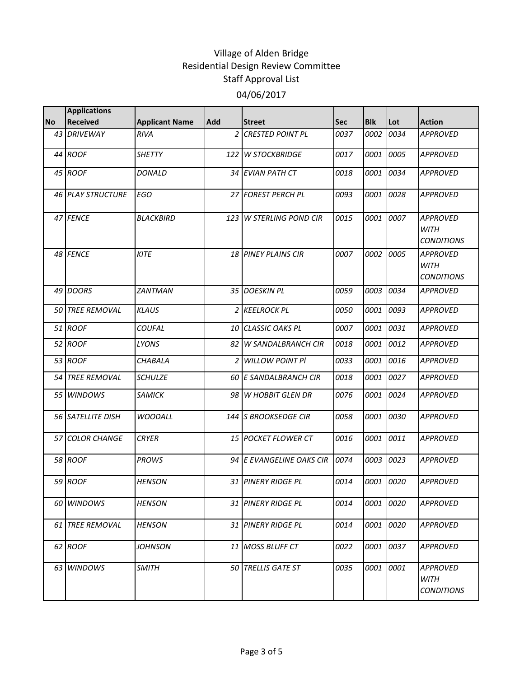|           | <b>Applications</b>      |                       |                |                            |      |            |      |                                                     |
|-----------|--------------------------|-----------------------|----------------|----------------------------|------|------------|------|-----------------------------------------------------|
| <b>No</b> | <b>Received</b>          | <b>Applicant Name</b> | <b>Add</b>     | <b>Street</b>              | Sec  | <b>Blk</b> | Lot  | <b>Action</b>                                       |
|           | 43 DRIVEWAY              | <b>RIVA</b>           | $\overline{z}$ | <b>CRESTED POINT PL</b>    | 0037 | 0002       | 0034 | <b>APPROVED</b>                                     |
|           | 44 ROOF                  | <b>SHETTY</b>         | 122            | <b>W STOCKBRIDGE</b>       | 0017 | 0001       | 0005 | <b>APPROVED</b>                                     |
|           | 45 ROOF                  | <b>DONALD</b>         |                | 34 EVIAN PATH CT           | 0018 | 0001       | 0034 | <b>APPROVED</b>                                     |
|           | <b>46 PLAY STRUCTURE</b> | <b>EGO</b>            |                | 27 FOREST PERCH PL         | 0093 | 0001       | 0028 | <b>APPROVED</b>                                     |
|           | 47 FENCE                 | <b>BLACKBIRD</b>      | 123            | <b>W STERLING POND CIR</b> | 0015 | 0001       | 0007 | <b>APPROVED</b><br><b>WITH</b><br><b>CONDITIONS</b> |
|           | 48 FENCE                 | <b>KITE</b>           |                | <b>18 PINEY PLAINS CIR</b> | 0007 | 0002       | 0005 | <b>APPROVED</b><br><b>WITH</b><br><b>CONDITIONS</b> |
|           | 49 DOORS                 | <b>ZANTMAN</b>        |                | 35 DOESKIN PL              | 0059 | 0003       | 0034 | <b>APPROVED</b>                                     |
|           | <b>50 TREE REMOVAL</b>   | <b>KLAUS</b>          |                | 2 KEELROCK PL              | 0050 | 0001       | 0093 | <b>APPROVED</b>                                     |
|           | 51 ROOF                  | COUFAL                |                | 10 CLASSIC OAKS PL         | 0007 | 0001       | 0031 | <b>APPROVED</b>                                     |
|           | 52 ROOF                  | LYONS                 | 82             | <b>W SANDALBRANCH CIR</b>  | 0018 | 0001       | 0012 | <b>APPROVED</b>                                     |
|           | 53 ROOF                  | <b>CHABALA</b>        | 2              | <b>WILLOW POINT PI</b>     | 0033 | 0001       | 0016 | <b>APPROVED</b>                                     |
|           | 54 TREE REMOVAL          | <b>SCHULZE</b>        |                | 60 E SANDALBRANCH CIR      | 0018 | 0001       | 0027 | <b>APPROVED</b>                                     |
|           | 55 WINDOWS               | <b>SAMICK</b>         | 98             | <b>W HOBBIT GLEN DR</b>    | 0076 | 0001       | 0024 | <b>APPROVED</b>                                     |
|           | 56 SATELLITE DISH        | <b>WOODALL</b>        |                | 144 S BROOKSEDGE CIR       | 0058 | 0001       | 0030 | <b>APPROVED</b>                                     |
|           | 57 COLOR CHANGE          | <b>CRYER</b>          |                | 15 POCKET FLOWER CT        | 0016 | 0001       | 0011 | <b>APPROVED</b>                                     |
|           | 58 ROOF                  | <b>PROWS</b>          |                | 94 E EVANGELINE OAKS CIR   | 0074 | 0003       | 0023 | <b>APPROVED</b>                                     |
|           | 59 ROOF                  | <b>HENSON</b>         |                | 31 PINERY RIDGE PL         | 0014 | 0001       | 0020 | <b>APPROVED</b>                                     |
|           | 60 WINDOWS               | <b>HENSON</b>         |                | 31 PINERY RIDGE PL         | 0014 | 0001       | 0020 | <b>APPROVED</b>                                     |
|           | 61 TREE REMOVAL          | <b>HENSON</b>         |                | <b>31 PINERY RIDGE PL</b>  | 0014 | 0001       | 0020 | APPROVED                                            |
|           | 62 ROOF                  | <i>JOHNSON</i>        |                | 11 MOSS BLUFF CT           | 0022 | 0001       | 0037 | APPROVED                                            |
|           | 63 WINDOWS               | <b>SMITH</b>          |                | 50 TRELLIS GATE ST         | 0035 | 0001       | 0001 | APPROVED<br>WITH<br><b>CONDITIONS</b>               |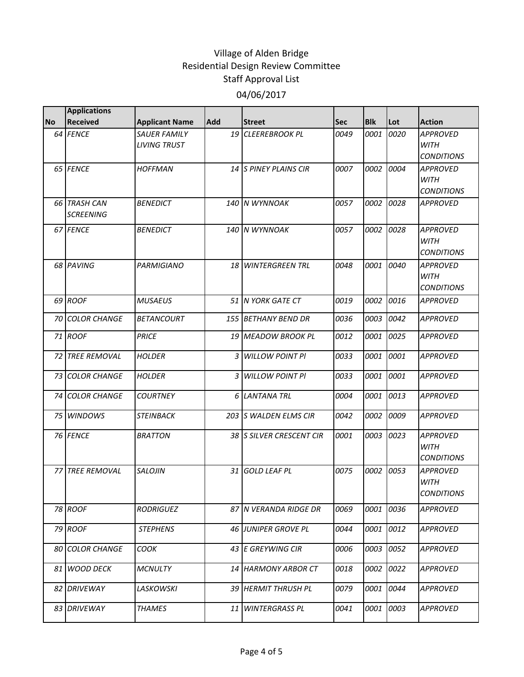|           | <b>Applications</b>              |                                            |            |                           |            |            |      |                                                     |
|-----------|----------------------------------|--------------------------------------------|------------|---------------------------|------------|------------|------|-----------------------------------------------------|
| <b>No</b> | <b>Received</b>                  | <b>Applicant Name</b>                      | <b>Add</b> | <b>Street</b>             | <b>Sec</b> | <b>Blk</b> | Lot  | <b>Action</b>                                       |
|           | 64 FENCE                         | <b>SAUER FAMILY</b><br><b>LIVING TRUST</b> | 19         | <b>CLEEREBROOK PL</b>     | 0049       | 0001       | 0020 | <b>APPROVED</b><br><b>WITH</b><br><b>CONDITIONS</b> |
|           | 65 FENCE                         | <b>HOFFMAN</b>                             |            | 14 S PINEY PLAINS CIR     | 0007       | 0002       | 0004 | <b>APPROVED</b><br><b>WITH</b><br><b>CONDITIONS</b> |
|           | 66 TRASH CAN<br><b>SCREENING</b> | <b>BENEDICT</b>                            |            | 140 N WYNNOAK             | 0057       | 0002       | 0028 | <b>APPROVED</b>                                     |
|           | 67 FENCE                         | <b>BENEDICT</b>                            |            | 140 IN WYNNOAK            | 0057       | 0002       | 0028 | <b>APPROVED</b><br><b>WITH</b><br><b>CONDITIONS</b> |
|           | 68 PAVING                        | <b>PARMIGIANO</b>                          |            | <b>18 WINTERGREEN TRL</b> | 0048       | 0001       | 0040 | <b>APPROVED</b><br><b>WITH</b><br><b>CONDITIONS</b> |
|           | 69 ROOF                          | <b>MUSAEUS</b>                             |            | 51 N YORK GATE CT         | 0019       | 0002       | 0016 | <b>APPROVED</b>                                     |
|           | <b>70 COLOR CHANGE</b>           | <b>BETANCOURT</b>                          |            | 155 BETHANY BEND DR       | 0036       | 0003       | 0042 | <b>APPROVED</b>                                     |
|           | 71 ROOF                          | <b>PRICE</b>                               |            | 19 MEADOW BROOK PL        | 0012       | 0001       | 0025 | <b>APPROVED</b>                                     |
|           | 72 TREE REMOVAL                  | <b>HOLDER</b>                              | 3          | <b>WILLOW POINT PI</b>    | 0033       | 0001       | 0001 | <b>APPROVED</b>                                     |
|           | 73 COLOR CHANGE                  | <b>HOLDER</b>                              | 3          | <b>WILLOW POINT PI</b>    | 0033       | 0001       | 0001 | <b>APPROVED</b>                                     |
|           | 74 COLOR CHANGE                  | <b>COURTNEY</b>                            |            | <b>6 LANTANA TRL</b>      | 0004       | 0001       | 0013 | <b>APPROVED</b>                                     |
|           | 75 WINDOWS                       | <b>STEINBACK</b>                           |            | 203 S WALDEN ELMS CIR     | 0042       | 0002       | 0009 | <b>APPROVED</b>                                     |
|           | 76 FENCE                         | <b>BRATTON</b>                             |            | 38 SILVER CRESCENT CIR    | 0001       | 0003       | 0023 | <b>APPROVED</b><br><b>WITH</b><br><b>CONDITIONS</b> |
|           | <b>77 TREE REMOVAL</b>           | <b>SALOJIN</b>                             |            | 31 GOLD LEAF PL           | 0075       | 0002       | 0053 | <b>APPROVED</b><br>WITH<br><b>CONDITIONS</b>        |
|           | 78 ROOF                          | <b>RODRIGUEZ</b>                           |            | 87 N VERANDA RIDGE DR     | 0069       | 0001       | 0036 | <b>APPROVED</b>                                     |
|           | 79 ROOF                          | <b>STEPHENS</b>                            |            | 46 JUNIPER GROVE PL       | 0044       | 0001       | 0012 | APPROVED                                            |
|           | 80 COLOR CHANGE                  | COOK                                       |            | 43 E GREYWING CIR         | 0006       | 0003       | 0052 | APPROVED                                            |
|           | 81 WOOD DECK                     | <b>MCNULTY</b>                             |            | 14 HARMONY ARBOR CT       | 0018       | 0002       | 0022 | APPROVED                                            |
|           | 82 DRIVEWAY                      | <b>LASKOWSKI</b>                           |            | 39 HERMIT THRUSH PL       | 0079       | 0001       | 0044 | <b>APPROVED</b>                                     |
|           | 83 DRIVEWAY                      | <b>THAMES</b>                              |            | 11 WINTERGRASS PL         | 0041       | 0001       | 0003 | APPROVED                                            |